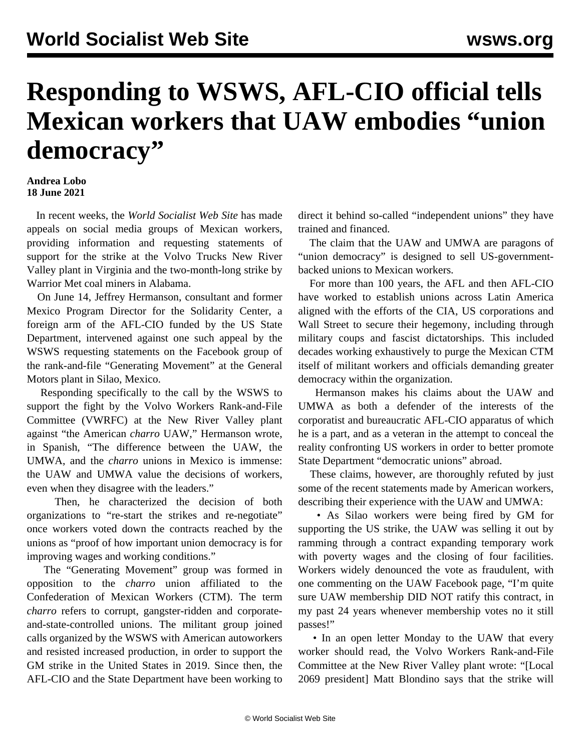## **Responding to WSWS, AFL-CIO official tells Mexican workers that UAW embodies "union democracy"**

## **Andrea Lobo 18 June 2021**

 In recent weeks, the *World Socialist Web Site* has made appeals on social media groups of Mexican workers, providing information and requesting statements of support for the strike at the Volvo Trucks New River Valley plant in Virginia and the two-month-long strike by Warrior Met coal miners in Alabama.

 On June 14, Jeffrey Hermanson, consultant and former Mexico Program Director for the Solidarity Center, a foreign arm of the AFL-CIO funded by the US State Department, intervened against one such appeal by the WSWS requesting statements on the Facebook group of the rank-and-file "Generating Movement" at the General Motors plant in Silao, Mexico.

 Responding specifically to the call by the WSWS to support the fight by the Volvo Workers Rank-and-File Committee (VWRFC) at the New River Valley plant against "the American *charro* UAW," Hermanson wrote, in Spanish, "The difference between the UAW, the UMWA, and the *charro* unions in Mexico is immense: the UAW and UMWA value the decisions of workers, even when they disagree with the leaders."

 Then, he characterized the decision of both organizations to "re-start the strikes and re-negotiate" once workers voted down the contracts reached by the unions as "proof of how important union democracy is for improving wages and working conditions."

 The "Generating Movement" group was formed in opposition to the *charro* union affiliated to the Confederation of Mexican Workers (CTM). The term *charro* refers to corrupt, gangster-ridden and corporateand-state-controlled unions. The militant group joined calls organized by the WSWS with American autoworkers and resisted increased production, in order to support the GM strike in the United States in 2019. Since then, the AFL-CIO and the State Department have been working to

direct it behind so-called "independent unions" they have trained and financed.

 The claim that the UAW and UMWA are paragons of "union democracy" is designed to sell US-governmentbacked unions to Mexican workers.

 For more than 100 years, the AFL and then AFL-CIO have worked to establish unions across Latin America aligned with the efforts of the CIA, US corporations and Wall Street to secure their hegemony, including through military coups and fascist dictatorships. This included decades working exhaustively to purge the Mexican CTM itself of militant workers and officials demanding greater democracy within the organization.

 Hermanson makes his claims about the UAW and UMWA as both a defender of the interests of the corporatist and bureaucratic AFL-CIO apparatus of which he is a part, and as a veteran in the attempt to conceal the reality confronting US workers in order to better promote State Department "democratic unions" abroad.

 These claims, however, are thoroughly refuted by just some of the recent statements made by American workers, describing their experience with the UAW and UMWA:

 • As Silao workers were being fired by GM for supporting the US strike, the UAW was selling it out by ramming through a contract expanding temporary work with poverty wages and the closing of four facilities. Workers widely denounced the vote as fraudulent, with one commenting on the UAW Facebook page, "I'm quite sure UAW membership DID NOT ratify this contract, in my past 24 years whenever membership votes no it still passes!"

• In an [open letter Monday to the UAW that every](/en/articles/2021/06/15/volv-j15.html) [worker should read,](/en/articles/2021/06/15/volv-j15.html) the Volvo Workers Rank-and-File Committee at the New River Valley plant wrote: "[Local 2069 president] Matt Blondino says that the strike will